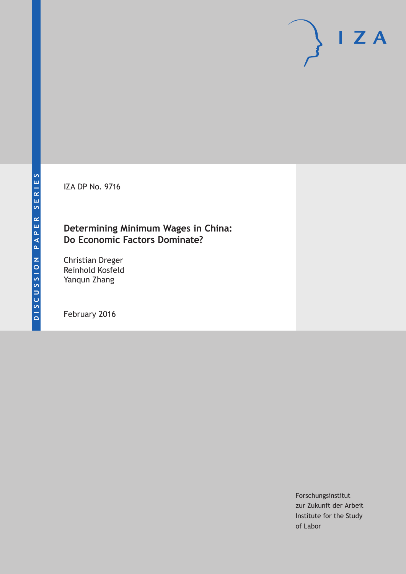IZA DP No. 9716

# **Determining Minimum Wages in China: Do Economic Factors Dominate?**

Christian Dreger Reinhold Kosfeld Yanqun Zhang

February 2016

Forschungsinstitut zur Zukunft der Arbeit Institute for the Study of Labor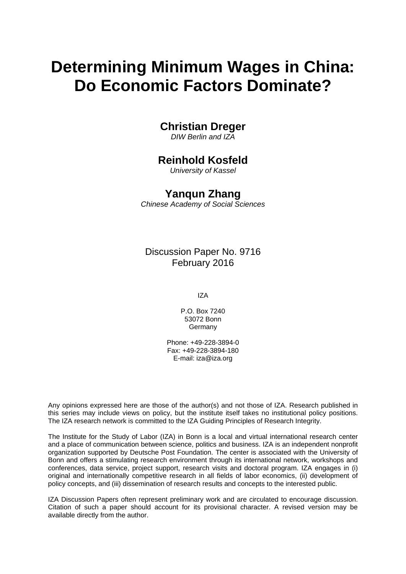# **Determining Minimum Wages in China: Do Economic Factors Dominate?**

# **Christian Dreger**

*DIW Berlin and IZA* 

# **Reinhold Kosfeld**

*University of Kassel* 

## **Yanqun Zhang**

*Chinese Academy of Social Sciences*

Discussion Paper No. 9716 February 2016

IZA

P.O. Box 7240 53072 Bonn Germany

Phone: +49-228-3894-0 Fax: +49-228-3894-180 E-mail: iza@iza.org

Any opinions expressed here are those of the author(s) and not those of IZA. Research published in this series may include views on policy, but the institute itself takes no institutional policy positions. The IZA research network is committed to the IZA Guiding Principles of Research Integrity.

The Institute for the Study of Labor (IZA) in Bonn is a local and virtual international research center and a place of communication between science, politics and business. IZA is an independent nonprofit organization supported by Deutsche Post Foundation. The center is associated with the University of Bonn and offers a stimulating research environment through its international network, workshops and conferences, data service, project support, research visits and doctoral program. IZA engages in (i) original and internationally competitive research in all fields of labor economics, (ii) development of policy concepts, and (iii) dissemination of research results and concepts to the interested public.

IZA Discussion Papers often represent preliminary work and are circulated to encourage discussion. Citation of such a paper should account for its provisional character. A revised version may be available directly from the author.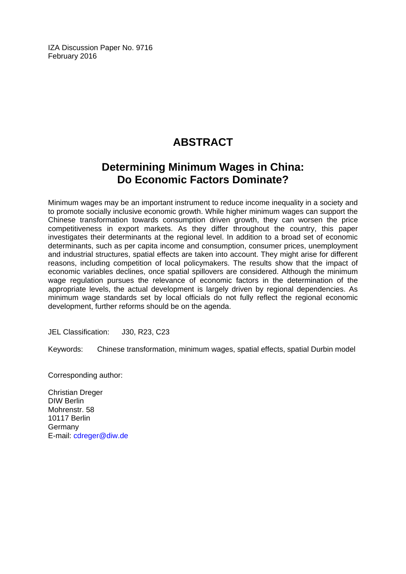IZA Discussion Paper No. 9716 February 2016

# **ABSTRACT**

# **Determining Minimum Wages in China: Do Economic Factors Dominate?**

Minimum wages may be an important instrument to reduce income inequality in a society and to promote socially inclusive economic growth. While higher minimum wages can support the Chinese transformation towards consumption driven growth, they can worsen the price competitiveness in export markets. As they differ throughout the country, this paper investigates their determinants at the regional level. In addition to a broad set of economic determinants, such as per capita income and consumption, consumer prices, unemployment and industrial structures, spatial effects are taken into account. They might arise for different reasons, including competition of local policymakers. The results show that the impact of economic variables declines, once spatial spillovers are considered. Although the minimum wage regulation pursues the relevance of economic factors in the determination of the appropriate levels, the actual development is largely driven by regional dependencies. As minimum wage standards set by local officials do not fully reflect the regional economic development, further reforms should be on the agenda.

JEL Classification: J30, R23, C23

Keywords: Chinese transformation, minimum wages, spatial effects, spatial Durbin model

Corresponding author:

Christian Dreger DIW Berlin Mohrenstr. 58 10117 Berlin Germany E-mail: cdreger@diw.de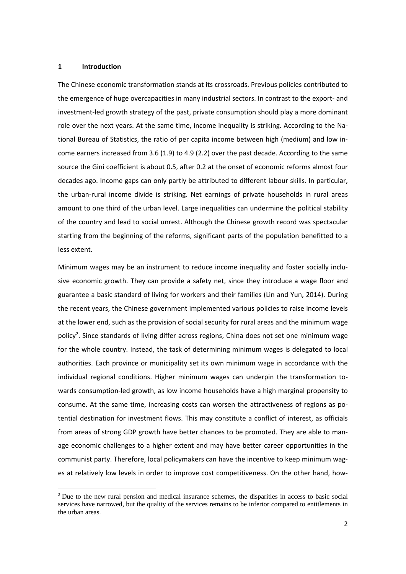#### **1 Introduction**

The Chinese economic transformation stands at its crossroads. Previous policies contributed to the emergence of huge overcapacities in many industrial sectors. In contrast to the export‐ and investment-led growth strategy of the past, private consumption should play a more dominant role over the next years. At the same time, income inequality is striking. According to the National Bureau of Statistics, the ratio of per capita income between high (medium) and low in‐ come earners increased from 3.6 (1.9) to 4.9 (2.2) over the past decade. According to the same source the Gini coefficient is about 0.5, after 0.2 at the onset of economic reforms almost four decades ago. Income gaps can only partly be attributed to different labour skills. In particular, the urban‐rural income divide is striking. Net earnings of private households in rural areas amount to one third of the urban level. Large inequalities can undermine the political stability of the country and lead to social unrest. Although the Chinese growth record was spectacular starting from the beginning of the reforms, significant parts of the population benefitted to a less extent.

Minimum wages may be an instrument to reduce income inequality and foster socially inclu‐ sive economic growth. They can provide a safety net, since they introduce a wage floor and guarantee a basic standard of living for workers and their families (Lin and Yun, 2014). During the recent years, the Chinese government implemented various policies to raise income levels at the lower end, such as the provision of social security for rural areas and the minimum wage policy<sup>2</sup>. Since standards of living differ across regions, China does not set one minimum wage for the whole country. Instead, the task of determining minimum wages is delegated to local authorities. Each province or municipality set its own minimum wage in accordance with the individual regional conditions. Higher minimum wages can underpin the transformation to‐ wards consumption-led growth, as low income households have a high marginal propensity to consume. At the same time, increasing costs can worsen the attractiveness of regions as po‐ tential destination for investment flows. This may constitute a conflict of interest, as officials from areas of strong GDP growth have better chances to be promoted. They are able to manage economic challenges to a higher extent and may have better career opportunities in the communist party. Therefore, local policymakers can have the incentive to keep minimum wages at relatively low levels in order to improve cost competitiveness. On the other hand, how-

<sup>&</sup>lt;sup>2</sup> Due to the new rural pension and medical insurance schemes, the disparities in access to basic social services have narrowed, but the quality of the services remains to be inferior compared to entitlements in the urban areas.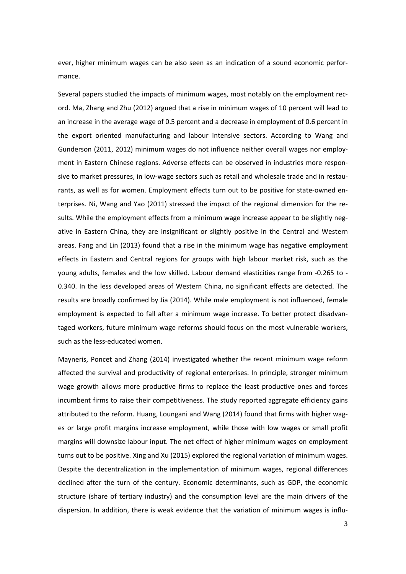ever, higher minimum wages can be also seen as an indication of a sound economic performance.

Several papers studied the impacts of minimum wages, most notably on the employment rec‐ ord. Ma, Zhang and Zhu (2012) argued that a rise in minimum wages of 10 percent will lead to an increase in the average wage of 0.5 percent and a decrease in employment of 0.6 percent in the export oriented manufacturing and labour intensive sectors. According to Wang and Gunderson (2011, 2012) minimum wages do not influence neither overall wages nor employ‐ ment in Eastern Chinese regions. Adverse effects can be observed in industries more respon‐ sive to market pressures, in low-wage sectors such as retail and wholesale trade and in restaurants, as well as for women. Employment effects turn out to be positive for state-owned enterprises. Ni, Wang and Yao (2011) stressed the impact of the regional dimension for the re‐ sults. While the employment effects from a minimum wage increase appear to be slightly negative in Eastern China, they are insignificant or slightly positive in the Central and Western areas. Fang and Lin (2013) found that a rise in the minimum wage has negative employment effects in Eastern and Central regions for groups with high labour market risk, such as the young adults, females and the low skilled. Labour demand elasticities range from ‐0.265 to ‐ 0.340. In the less developed areas of Western China, no significant effects are detected. The results are broadly confirmed by Jia (2014). While male employment is not influenced, female employment is expected to fall after a minimum wage increase. To better protect disadvan‐ taged workers, future minimum wage reforms should focus on the most vulnerable workers, such as the less-educated women.

Mayneris, Poncet and Zhang (2014) investigated whether the recent minimum wage reform affected the survival and productivity of regional enterprises. In principle, stronger minimum wage growth allows more productive firms to replace the least productive ones and forces incumbent firms to raise their competitiveness. The study reported aggregate efficiency gains attributed to the reform. Huang, Loungani and Wang (2014) found that firms with higher wag‐ es or large profit margins increase employment, while those with low wages or small profit margins will downsize labour input. The net effect of higher minimum wages on employment turns out to be positive. Xing and Xu (2015) explored the regional variation of minimum wages. Despite the decentralization in the implementation of minimum wages, regional differences declined after the turn of the century. Economic determinants, such as GDP, the economic structure (share of tertiary industry) and the consumption level are the main drivers of the dispersion. In addition, there is weak evidence that the variation of minimum wages is influ‐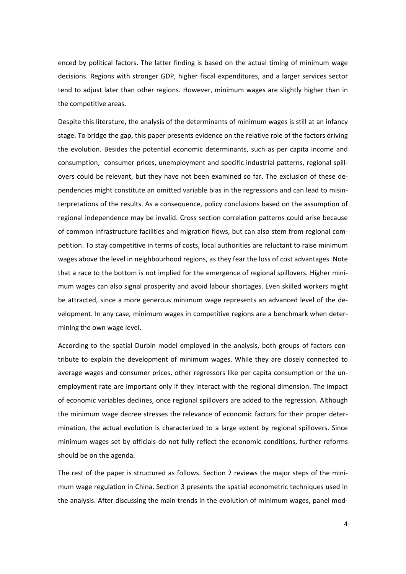enced by political factors. The latter finding is based on the actual timing of minimum wage decisions. Regions with stronger GDP, higher fiscal expenditures, and a larger services sector tend to adjust later than other regions. However, minimum wages are slightly higher than in the competitive areas.

Despite this literature, the analysis of the determinants of minimum wages is still at an infancy stage. To bridge the gap, this paper presents evidence on the relative role of the factors driving the evolution. Besides the potential economic determinants, such as per capita income and consumption, consumer prices, unemployment and specific industrial patterns, regional spill‐ overs could be relevant, but they have not been examined so far. The exclusion of these de‐ pendencies might constitute an omitted variable bias in the regressions and can lead to misinterpretations of the results. As a consequence, policy conclusions based on the assumption of regional independence may be invalid. Cross section correlation patterns could arise because of common infrastructure facilities and migration flows, but can also stem from regional com‐ petition. To stay competitive in terms of costs, local authorities are reluctant to raise minimum wages above the level in neighbourhood regions, as they fear the loss of cost advantages. Note that a race to the bottom is not implied for the emergence of regional spillovers. Higher mini‐ mum wages can also signal prosperity and avoid labour shortages. Even skilled workers might be attracted, since a more generous minimum wage represents an advanced level of the de‐ velopment. In any case, minimum wages in competitive regions are a benchmark when deter‐ mining the own wage level.

According to the spatial Durbin model employed in the analysis, both groups of factors con‐ tribute to explain the development of minimum wages. While they are closely connected to average wages and consumer prices, other regressors like per capita consumption or the un‐ employment rate are important only if they interact with the regional dimension. The impact of economic variables declines, once regional spillovers are added to the regression. Although the minimum wage decree stresses the relevance of economic factors for their proper deter‐ mination, the actual evolution is characterized to a large extent by regional spillovers. Since minimum wages set by officials do not fully reflect the economic conditions, further reforms should be on the agenda.

The rest of the paper is structured as follows. Section 2 reviews the major steps of the minimum wage regulation in China. Section 3 presents the spatial econometric techniques used in the analysis. After discussing the main trends in the evolution of minimum wages, panel mod‐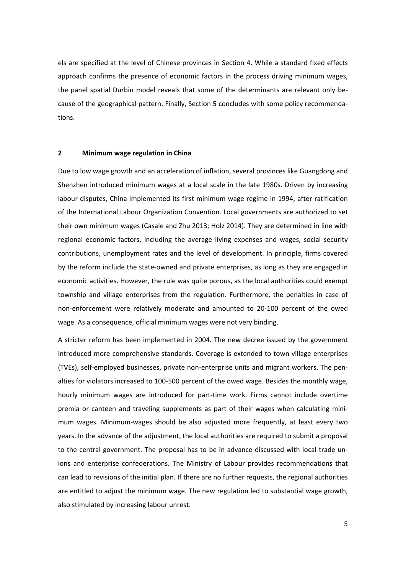els are specified at the level of Chinese provinces in Section 4. While a standard fixed effects approach confirms the presence of economic factors in the process driving minimum wages, the panel spatial Durbin model reveals that some of the determinants are relevant only be‐ cause of the geographical pattern. Finally, Section 5 concludes with some policy recommenda‐ tions.

#### **2 Minimum wage regulation in China**

Due to low wage growth and an acceleration of inflation, several provinces like Guangdong and Shenzhen introduced minimum wages at a local scale in the late 1980s. Driven by increasing labour disputes, China implemented its first minimum wage regime in 1994, after ratification of the International Labour Organization Convention. Local governments are authorized to set their own minimum wages (Casale and Zhu 2013; Holz 2014). They are determined in line with regional economic factors, including the average living expenses and wages, social security contributions, unemployment rates and the level of development. In principle, firms covered by the reform include the state‐owned and private enterprises, as long as they are engaged in economic activities. However, the rule was quite porous, as the local authorities could exempt township and village enterprises from the regulation. Furthermore, the penalties in case of non‐enforcement were relatively moderate and amounted to 20‐100 percent of the owed wage. As a consequence, official minimum wages were not very binding.

A stricter reform has been implemented in 2004. The new decree issued by the government introduced more comprehensive standards. Coverage is extended to town village enterprises (TVEs), self‐employed businesses, private non‐enterprise units and migrant workers. The pen‐ alties for violators increased to 100‐500 percent of the owed wage. Besides the monthly wage, hourly minimum wages are introduced for part‐time work. Firms cannot include overtime premia or canteen and traveling supplements as part of their wages when calculating minimum wages. Minimum‐wages should be also adjusted more frequently, at least every two years. In the advance of the adjustment, the local authorities are required to submit a proposal to the central government. The proposal has to be in advance discussed with local trade un‐ ions and enterprise confederations. The Ministry of Labour provides recommendations that can lead to revisions of the initial plan. If there are no further requests, the regional authorities are entitled to adjust the minimum wage. The new regulation led to substantial wage growth, also stimulated by increasing labour unrest.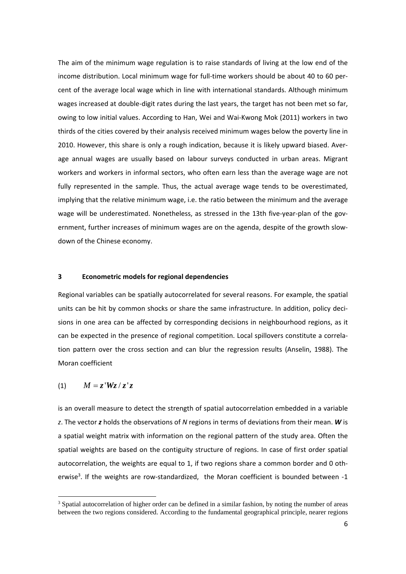The aim of the minimum wage regulation is to raise standards of living at the low end of the income distribution. Local minimum wage for full‐time workers should be about 40 to 60 per‐ cent of the average local wage which in line with international standards. Although minimum wages increased at double-digit rates during the last years, the target has not been met so far, owing to low initial values. According to Han, Wei and Wai‐Kwong Mok (2011) workers in two thirds of the cities covered by their analysis received minimum wages below the poverty line in 2010. However, this share is only a rough indication, because it is likely upward biased. Aver‐ age annual wages are usually based on labour surveys conducted in urban areas. Migrant workers and workers in informal sectors, who often earn less than the average wage are not fully represented in the sample. Thus, the actual average wage tends to be overestimated, implying that the relative minimum wage, i.e. the ratio between the minimum and the average wage will be underestimated. Nonetheless, as stressed in the 13th five-year-plan of the government, further increases of minimum wages are on the agenda, despite of the growth slow‐ down of the Chinese economy.

#### **3 Econometric models for regional dependencies**

Regional variables can be spatially autocorrelated for several reasons. For example, the spatial units can be hit by common shocks or share the same infrastructure. In addition, policy decisions in one area can be affected by corresponding decisions in neighbourhood regions, as it can be expected in the presence of regional competition. Local spillovers constitute a correla‐ tion pattern over the cross section and can blur the regression results (Anselin, 1988). The Moran coefficient

### (1)  $M = z' W z / z' z$

is an overall measure to detect the strength of spatial autocorrelation embedded in a variable *z*. The vector *z* holds the observations of *N* regions in terms of deviations from their mean. *W* is a spatial weight matrix with information on the regional pattern of the study area. Often the spatial weights are based on the contiguity structure of regions. In case of first order spatial autocorrelation, the weights are equal to 1, if two regions share a common border and 0 oth‐ erwise<sup>3</sup>. If the weights are row-standardized, the Moran coefficient is bounded between -1

<sup>&</sup>lt;sup>3</sup> Spatial autocorrelation of higher order can be defined in a similar fashion, by noting the number of areas between the two regions considered. According to the fundamental geographical principle, nearer regions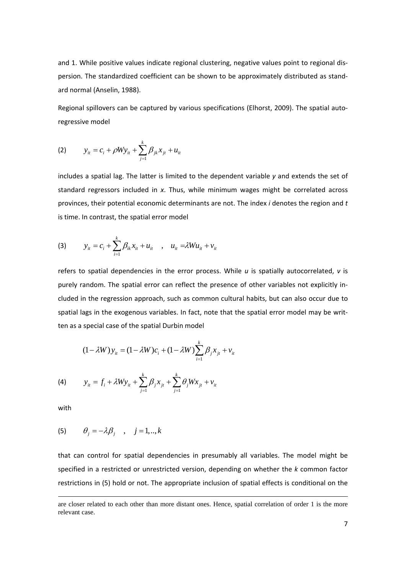and 1. While positive values indicate regional clustering, negative values point to regional dis‐ persion. The standardized coefficient can be shown to be approximately distributed as stand‐ ard normal (Anselin, 1988).

Regional spillovers can be captured by various specifications (Elhorst, 2009). The spatial auto‐ regressive model

(2) 
$$
y_{it} = c_i + \rho W y_{it} + \sum_{j=1}^{k} \beta_{jk} x_{jt} + u_{it}
$$

includes a spatial lag. The latter is limited to the dependent variable *y* and extends the set of standard regressors included in *x*. Thus, while minimum wages might be correlated across provinces, their potential economic determinants are not. The index *i* denotes the region and *t* is time. In contrast, the spatial error model

(3) 
$$
y_{it} = c_i + \sum_{i=1}^{k} \beta_{ik} x_{it} + u_{it}
$$
,  $u_{it} = \lambda W u_{it} + v_{it}$ 

refers to spatial dependencies in the error process. While *u* is spatially autocorrelated, *v* is purely random. The spatial error can reflect the presence of other variables not explicitly in‐ cluded in the regression approach, such as common cultural habits, but can also occur due to spatial lags in the exogenous variables. In fact, note that the spatial error model may be written as a special case of the spatial Durbin model

$$
(1 - \lambda W) y_{it} = (1 - \lambda W) c_i + (1 - \lambda W) \sum_{i=1}^{k} \beta_j x_{it} + v_{it}
$$

(4) 
$$
y_{it} = f_i + \lambda W y_{it} + \sum_{j=1}^{k} \beta_j x_{jt} + \sum_{j=1}^{k} \theta_j W x_{jt} + v_{it}
$$

with

$$
(5) \qquad \theta_j = -\lambda \beta_j \quad , \quad j = 1,..,k
$$

that can control for spatial dependencies in presumably all variables. The model might be specified in a restricted or unrestricted version, depending on whether the *k* common factor restrictions in (5) hold or not. The appropriate inclusion of spatial effects is conditional on the

<sup>&</sup>lt;u> Andrewski politika (za obrazu pod obrazu pod obrazu pod obrazu pod obrazu pod obrazu pod obrazu pod obrazu p</u> are closer related to each other than more distant ones. Hence, spatial correlation of order 1 is the more relevant case.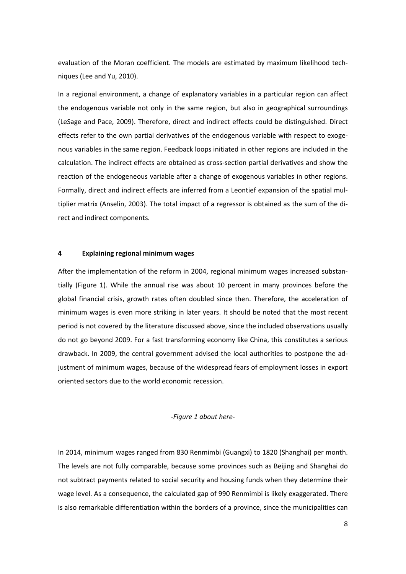evaluation of the Moran coefficient. The models are estimated by maximum likelihood techniques (Lee and Yu, 2010).

In a regional environment, a change of explanatory variables in a particular region can affect the endogenous variable not only in the same region, but also in geographical surroundings (LeSage and Pace, 2009). Therefore, direct and indirect effects could be distinguished. Direct effects refer to the own partial derivatives of the endogenous variable with respect to exoge‐ nous variables in the same region. Feedback loops initiated in other regions are included in the calculation. The indirect effects are obtained as cross‐section partial derivatives and show the reaction of the endogeneous variable after a change of exogenous variables in other regions. Formally, direct and indirect effects are inferred from a Leontief expansion of the spatial mul‐ tiplier matrix (Anselin, 2003). The total impact of a regressor is obtained as the sum of the di‐ rect and indirect components.

#### **4 Explaining regional minimum wages**

After the implementation of the reform in 2004, regional minimum wages increased substan‐ tially (Figure 1). While the annual rise was about 10 percent in many provinces before the global financial crisis, growth rates often doubled since then. Therefore, the acceleration of minimum wages is even more striking in later years. It should be noted that the most recent period is not covered by the literature discussed above, since the included observations usually do not go beyond 2009. For a fast transforming economy like China, this constitutes a serious drawback. In 2009, the central government advised the local authorities to postpone the ad‐ justment of minimum wages, because of the widespread fears of employment losses in export oriented sectors due to the world economic recession.

#### *‐Figure 1 about here‐*

In 2014, minimum wages ranged from 830 Renmimbi (Guangxi) to 1820 (Shanghai) per month. The levels are not fully comparable, because some provinces such as Beijing and Shanghai do not subtract payments related to social security and housing funds when they determine their wage level. As a consequence, the calculated gap of 990 Renmimbi is likely exaggerated. There is also remarkable differentiation within the borders of a province, since the municipalities can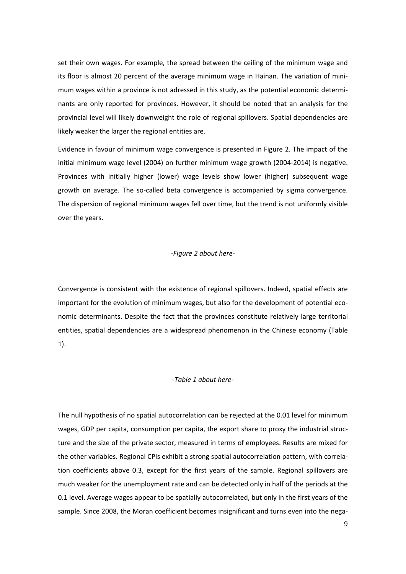set their own wages. For example, the spread between the ceiling of the minimum wage and its floor is almost 20 percent of the average minimum wage in Hainan. The variation of mini‐ mum wages within a province is not adressed in this study, as the potential economic determinants are only reported for provinces. However, it should be noted that an analysis for the provincial level will likely downweight the role of regional spillovers. Spatial dependencies are likely weaker the larger the regional entities are.

Evidence in favour of minimum wage convergence is presented in Figure 2. The impact of the initial minimum wage level (2004) on further minimum wage growth (2004‐2014) is negative. Provinces with initially higher (lower) wage levels show lower (higher) subsequent wage growth on average. The so-called beta convergence is accompanied by sigma convergence. The dispersion of regional minimum wages fell over time, but the trend is not uniformly visible over the years.

#### *‐Figure 2 about here‐*

Convergence is consistent with the existence of regional spillovers. Indeed, spatial effects are important for the evolution of minimum wages, but also for the development of potential economic determinants. Despite the fact that the provinces constitute relatively large territorial entities, spatial dependencies are a widespread phenomenon in the Chinese economy (Table 1).

#### *‐Table 1 about here‐*

The null hypothesis of no spatial autocorrelation can be rejected at the 0.01 level for minimum wages, GDP per capita, consumption per capita, the export share to proxy the industrial structure and the size of the private sector, measured in terms of employees. Results are mixed for the other variables. Regional CPIs exhibit a strong spatial autocorrelation pattern, with correla‐ tion coefficients above 0.3, except for the first years of the sample. Regional spillovers are much weaker for the unemployment rate and can be detected only in half of the periods at the 0.1 level. Average wages appear to be spatially autocorrelated, but only in the first years of the sample. Since 2008, the Moran coefficient becomes insignificant and turns even into the nega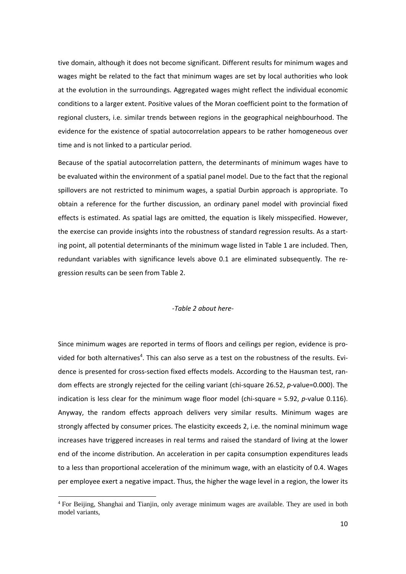tive domain, although it does not become significant. Different results for minimum wages and wages might be related to the fact that minimum wages are set by local authorities who look at the evolution in the surroundings. Aggregated wages might reflect the individual economic conditions to a larger extent. Positive values of the Moran coefficient point to the formation of regional clusters, i.e. similar trends between regions in the geographical neighbourhood. The evidence for the existence of spatial autocorrelation appears to be rather homogeneous over time and is not linked to a particular period.

Because of the spatial autocorrelation pattern, the determinants of minimum wages have to be evaluated within the environment of a spatial panel model. Due to the fact that the regional spillovers are not restricted to minimum wages, a spatial Durbin approach is appropriate. To obtain a reference for the further discussion, an ordinary panel model with provincial fixed effects is estimated. As spatial lags are omitted, the equation is likely misspecified. However, the exercise can provide insights into the robustness of standard regression results. As a start‐ ing point, all potential determinants of the minimum wage listed in Table 1 are included. Then, redundant variables with significance levels above 0.1 are eliminated subsequently. The re‐ gression results can be seen from Table 2.

#### *‐Table 2 about here‐*

Since minimum wages are reported in terms of floors and ceilings per region, evidence is pro‐ vided for both alternatives<sup>4</sup>. This can also serve as a test on the robustness of the results. Evidence is presented for cross-section fixed effects models. According to the Hausman test, random effects are strongly rejected for the ceiling variant (chi-square 26.52, *p*-value=0.000). The indication is less clear for the minimum wage floor model (chi-square = 5.92, *p*-value 0.116). Anyway, the random effects approach delivers very similar results. Minimum wages are strongly affected by consumer prices. The elasticity exceeds 2, i.e. the nominal minimum wage increases have triggered increases in real terms and raised the standard of living at the lower end of the income distribution. An acceleration in per capita consumption expenditures leads to a less than proportional acceleration of the minimum wage, with an elasticity of 0.4. Wages per employee exert a negative impact. Thus, the higher the wage level in a region, the lower its

<sup>&</sup>lt;sup>4</sup> For Beijing, Shanghai and Tianjin, only average minimum wages are available. They are used in both model variants,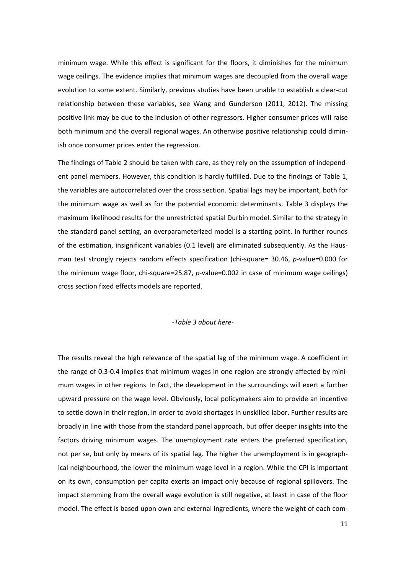minimum wage. While this effect is significant for the floors, it diminishes for the minimum wage ceilings. The evidence implies that minimum wages are decoupled from the overall wage evolution to some extent. Similarly, previous studies have been unable to establish a clear‐cut relationship between these variables, see Wang and Gunderson (2011, 2012). The missing positive link may be due to the inclusion of other regressors. Higher consumer prices will raise both minimum and the overall regional wages. An otherwise positive relationship could dimin‐ ish once consumer prices enter the regression.

The findings of Table 2 should be taken with care, as they rely on the assumption of independ‐ ent panel members. However, this condition is hardly fulfilled. Due to the findings of Table 1, the variables are autocorrelated over the cross section. Spatial lags may be important, both for the minimum wage as well as for the potential economic determinants. Table 3 displays the maximum likelihood results for the unrestricted spatial Durbin model. Similar to the strategy in the standard panel setting, an overparameterized model is a starting point. In further rounds of the estimation, insignificant variables (0.1 level) are eliminated subsequently. As the Haus‐ man test strongly rejects random effects specification (chi-square= 30.46, *p*-value=0.000 for the minimum wage floor, chi-square=25.87, *p*-value=0.002 in case of minimum wage ceilings) cross section fixed effects models are reported.

#### *‐Table 3 about here‐*

The results reveal the high relevance of the spatial lag of the minimum wage. A coefficient in the range of 0.3-0.4 implies that minimum wages in one region are strongly affected by minimum wages in other regions. In fact, the development in the surroundings will exert a further upward pressure on the wage level. Obviously, local policymakers aim to provide an incentive to settle down in their region, in order to avoid shortages in unskilled labor. Further results are broadly in line with those from the standard panel approach, but offer deeper insights into the factors driving minimum wages. The unemployment rate enters the preferred specification, not per se, but only by means of its spatial lag. The higher the unemployment is in geograph‐ ical neighbourhood, the lower the minimum wage level in a region. While the CPI is important on its own, consumption per capita exerts an impact only because of regional spillovers. The impact stemming from the overall wage evolution is still negative, at least in case of the floor model. The effect is based upon own and external ingredients, where the weight of each com‐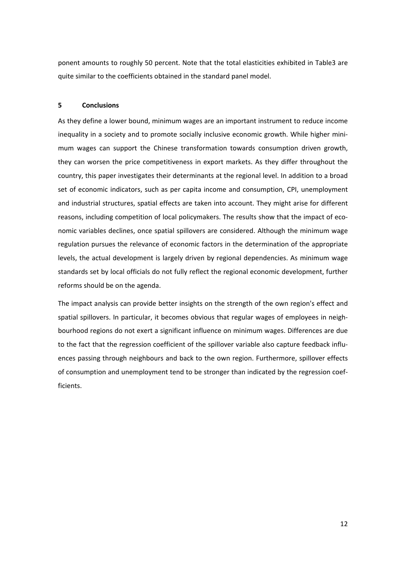ponent amounts to roughly 50 percent. Note that the total elasticities exhibited in Table3 are quite similar to the coefficients obtained in the standard panel model.

#### **5 Conclusions**

As they define a lower bound, minimum wages are an important instrument to reduce income inequality in a society and to promote socially inclusive economic growth. While higher minimum wages can support the Chinese transformation towards consumption driven growth, they can worsen the price competitiveness in export markets. As they differ throughout the country, this paper investigates their determinants at the regional level. In addition to a broad set of economic indicators, such as per capita income and consumption, CPI, unemployment and industrial structures, spatial effects are taken into account. They might arise for different reasons, including competition of local policymakers. The results show that the impact of economic variables declines, once spatial spillovers are considered. Although the minimum wage regulation pursues the relevance of economic factors in the determination of the appropriate levels, the actual development is largely driven by regional dependencies. As minimum wage standards set by local officials do not fully reflect the regional economic development, further reforms should be on the agenda.

The impact analysis can provide better insights on the strength of the own region's effect and spatial spillovers. In particular, it becomes obvious that regular wages of employees in neighbourhood regions do not exert a significant influence on minimum wages. Differences are due to the fact that the regression coefficient of the spillover variable also capture feedback influ‐ ences passing through neighbours and back to the own region. Furthermore, spillover effects of consumption and unemployment tend to be stronger than indicated by the regression coef‐ ficients.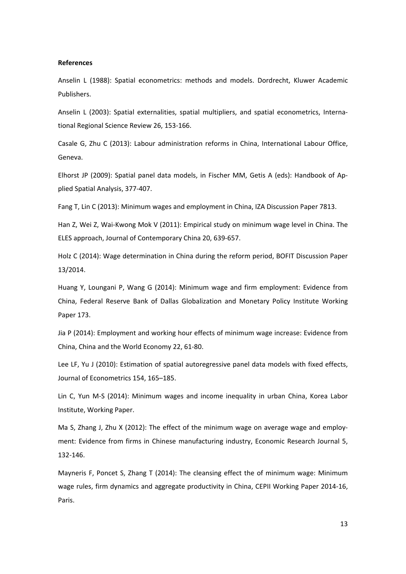#### **References**

Anselin L (1988): Spatial econometrics: methods and models. Dordrecht, Kluwer Academic Publishers.

Anselin L (2003): Spatial externalities, spatial multipliers, and spatial econometrics, Interna‐ tional Regional Science Review 26, 153‐166.

Casale G, Zhu C (2013): Labour administration reforms in China, International Labour Office, Geneva.

Elhorst JP (2009): Spatial panel data models, in Fischer MM, Getis A (eds): Handbook of Ap‐ plied Spatial Analysis, 377‐407.

Fang T, Lin C (2013): Minimum wages and employment in China, IZA Discussion Paper 7813.

Han Z, Wei Z, Wai‐Kwong Mok V (2011): Empirical study on minimum wage level in China. The ELES approach, Journal of Contemporary China 20, 639‐657.

Holz C (2014): Wage determination in China during the reform period, BOFIT Discussion Paper 13/2014.

Huang Y, Loungani P, Wang G (2014): Minimum wage and firm employment: Evidence from China, Federal Reserve Bank of Dallas Globalization and Monetary Policy Institute Working Paper 173.

Jia P (2014): Employment and working hour effects of minimum wage increase: Evidence from China, China and the World Economy 22, 61‐80.

Lee LF, Yu J (2010): Estimation of spatial autoregressive panel data models with fixed effects, Journal of Econometrics 154, 165–185.

Lin C, Yun M‐S (2014): Minimum wages and income inequality in urban China, Korea Labor Institute, Working Paper.

Ma S, Zhang J, Zhu X (2012): The effect of the minimum wage on average wage and employment: Evidence from firms in Chinese manufacturing industry, Economic Research Journal 5, 132‐146.

Mayneris F, Poncet S, Zhang T (2014): The cleansing effect the of minimum wage: Minimum wage rules, firm dynamics and aggregate productivity in China, CEPII Working Paper 2014‐16, Paris.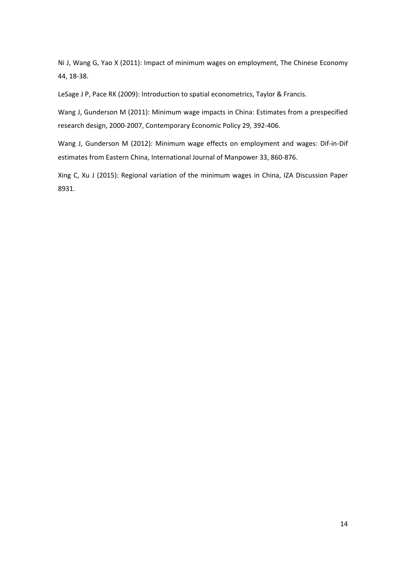Ni J, Wang G, Yao X (2011): Impact of minimum wages on employment, The Chinese Economy 44, 18‐38.

LeSage J P, Pace RK (2009): Introduction to spatial econometrics, Taylor & Francis.

Wang J, Gunderson M (2011): Minimum wage impacts in China: Estimates from a prespecified research design, 2000‐2007, Contemporary Economic Policy 29, 392‐406.

Wang J, Gunderson M (2012): Minimum wage effects on employment and wages: Dif‐in‐Dif estimates from Eastern China, International Journal of Manpower 33, 860‐876.

Xing C, Xu J (2015): Regional variation of the minimum wages in China, IZA Discussion Paper 8931.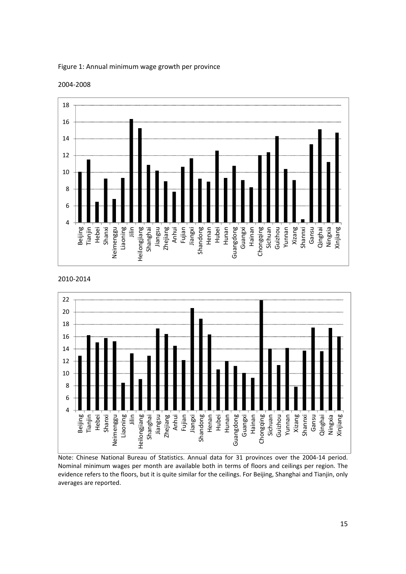

### Figure 1: Annual minimum wage growth per province

2004‐2008

2010‐2014



Note: Chinese National Bureau of Statistics. Annual data for 31 provinces over the 2004‐14 period. Nominal minimum wages per month are available both in terms of floors and ceilings per region. The evidence refers to the floors, but it is quite similar for the ceilings. For Beijing, Shanghai and Tianjin, only averages are reported.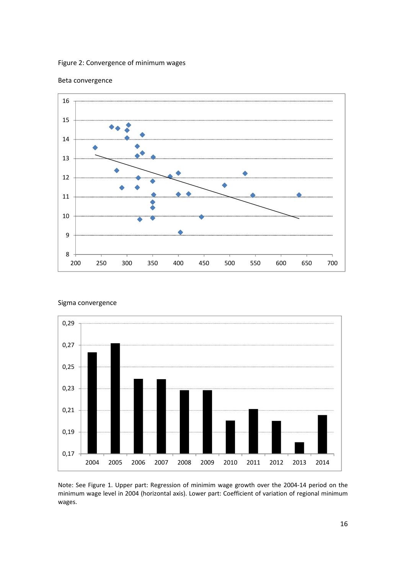### Figure 2: Convergence of minimum wages



### Beta convergence





Note: See Figure 1. Upper part: Regression of minimim wage growth over the 2004‐14 period on the minimum wage level in 2004 (horizontal axis). Lower part: Coefficient of variation of regional minimum wages.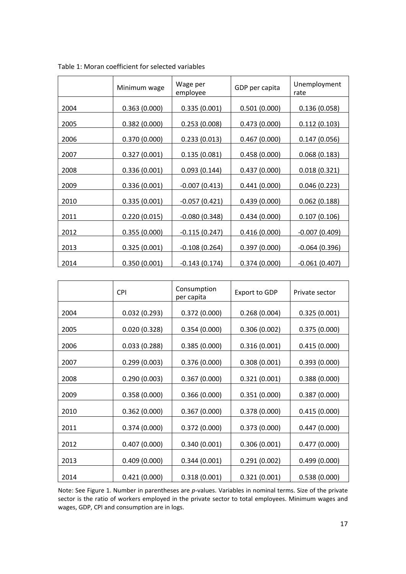|      | Minimum wage | Wage per<br>employee  | GDP per capita | Unemployment<br>rate |
|------|--------------|-----------------------|----------------|----------------------|
| 2004 | 0.363(0.000) | 0.335(0.001)          | 0.501(0.000)   | 0.136(0.058)         |
| 2005 | 0.382(0.000) | 0.253(0.008)          | 0.473(0.000)   | 0.112(0.103)         |
| 2006 | 0.370(0.000) | 0.233(0.013)          | 0.467(0.000)   | 0.147(0.056)         |
| 2007 | 0.327(0.001) | 0.135(0.081)          | 0.458(0.000)   | 0.068(0.183)         |
| 2008 | 0.336(0.001) | 0.093(0.144)          | 0.437(0.000)   | 0.018(0.321)         |
| 2009 | 0.336(0.001) | -0.007 (0.413)        | 0.441(0.000)   | 0.046(0.223)         |
| 2010 | 0.335(0.001) | $-0.057(0.421)$       | 0.439(0.000)   | 0.062(0.188)         |
| 2011 | 0.220(0.015) | <u>-0.080 (0.348)</u> | 0.434(0.000)   | 0.107(0.106)         |
| 2012 | 0.355(0.000) | $-0.115(0.247)$       | 0.416(0.000)   | $-0.007(0.409)$      |
| 2013 | 0.325(0.001) | $-0.108(0.264)$       | 0.397(0.000)   | $-0.064(0.396)$      |
| 2014 | 0.350(0.001) | $-0.143(0.174)$       | 0.374(0.000)   | $-0.061(0.407)$      |

|  | Table 1: Moran coefficient for selected variables |  |
|--|---------------------------------------------------|--|
|--|---------------------------------------------------|--|

|      | <b>CPI</b>   | Consumption<br>per capita | <b>Export to GDP</b> | Private sector |
|------|--------------|---------------------------|----------------------|----------------|
| 2004 | 0.032(0.293) | 0.372(0.000)              | 0.268(0.004)         | 0.325(0.001)   |
| 2005 | 0.020(0.328) | 0.354(0.000)              | 0.306(0.002)         | 0.375(0.000)   |
| 2006 | 0.033(0.288) | 0.385(0.000)              | 0.316(0.001)         | 0.415(0.000)   |
| 2007 | 0.299(0.003) | 0.376(0.000)              | 0.308(0.001)         | 0.393(0.000)   |
| 2008 | 0.290(0.003) | 0.367(0.000)              | 0.321(0.001)         | 0.388(0.000)   |
| 2009 | 0.358(0.000) | 0.366(0.000)              | 0.351(0.000)         | 0.387(0.000)   |
| 2010 | 0.362(0.000) | 0.367(0.000)              | 0.378(0.000)         | 0.415(0.000)   |
| 2011 | 0.374(0.000) | 0.372(0.000)              | 0.373(0.000)         | 0.447(0.000)   |
| 2012 | 0.407(0.000) | 0.340(0.001)              | 0.306(0.001)         | 0.477(0.000)   |
| 2013 | 0.409(0.000) | 0.344(0.001)              | 0.291(0.002)         | 0.499(0.000)   |
| 2014 | 0.421(0.000) | 0.318(0.001)              | 0.321(0.001)         | 0.538(0.000)   |

Note: See Figure 1. Number in parentheses are *p*-values. Variables in nominal terms. Size of the private sector is the ratio of workers employed in the private sector to total employees. Minimum wages and wages, GDP, CPI and consumption are in logs.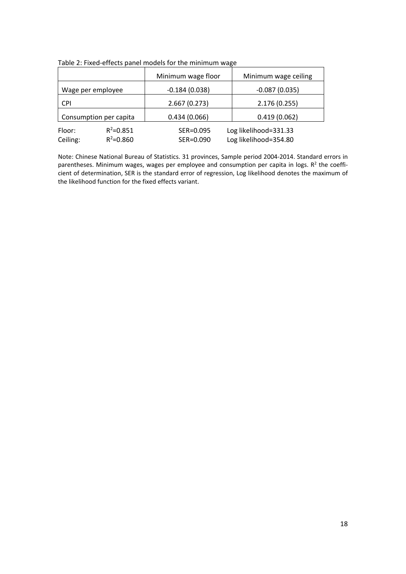|                        |               | Minimum wage floor | Minimum wage ceiling  |  |
|------------------------|---------------|--------------------|-----------------------|--|
| Wage per employee      |               | $-0.184(0.038)$    | $-0.087(0.035)$       |  |
| <b>CPI</b>             |               | 2.667(0.273)       | 2.176 (0.255)         |  |
| Consumption per capita |               | 0.434(0.066)       | 0.419(0.062)          |  |
| Floor:                 | $R^2 = 0.851$ | SER=0.095          | Log likelihood=331.33 |  |
| Ceiling:               | $R^2 = 0.860$ | SER=0.090          | Log likelihood=354.80 |  |

Table 2: Fixed‐effects panel models for the minimum wage

Note: Chinese National Bureau of Statistics. 31 provinces, Sample period 2004‐2014. Standard errors in parentheses. Minimum wages, wages per employee and consumption per capita in logs.  $R<sup>2</sup>$  the coefficient of determination, SER is the standard error of regression, Log likelihood denotes the maximum of the likelihood function for the fixed effects variant.